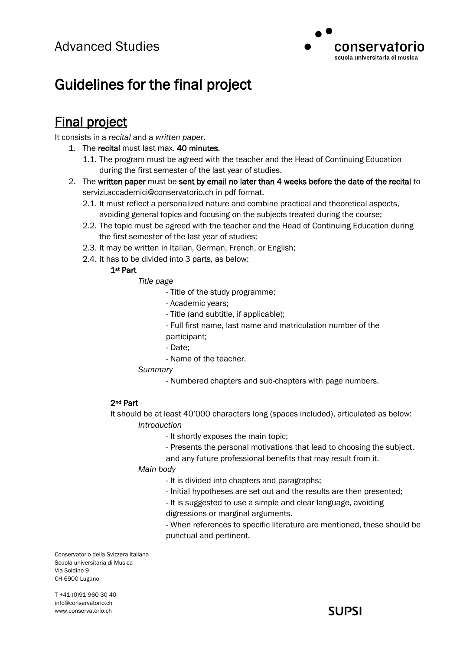

# Guidelines for the final project

## Final project

It consists in a *recital* and a *written paper*.

- 1. The recital must last max. 40 minutes.
	- 1.1. The program must be agreed with the teacher and the Head of Continuing Education during the first semester of the last year of studies.
- 2. The written paper must be sent by email no later than 4 weeks before the date of the recital to [servizi.accademici@conservatorio.ch](mailto:servizi.accademici@conservatorio.ch) in pdf format.
	- 2.1. It must reflect a personalized nature and combine practical and theoretical aspects, avoiding general topics and focusing on the subjects treated during the course;
	- 2.2. The topic must be agreed with the teacher and the Head of Continuing Education during the first semester of the last year of studies;
	- 2.3. It may be written in Italian, German, French, or English;
	- 2.4. It has to be divided into 3 parts, as below:

#### 1st Part

#### *Title page*

- Title of the study programme;
- Academic years;
- Title (and subtitle, if applicable);
- Full first name, last name and matriculation number of the
- participant;
- Date;
- Name of the teacher.
- *Summary*
	- Numbered chapters and sub-chapters with page numbers.

#### 2nd Part

It should be at least 40'000 characters long (spaces included), articulated as below: *Introduction*

- It shortly exposes the main topic;
- Presents the personal motivations that lead to choosing the subject,

and any future professional benefits that may result from it.

*Main body*

- It is divided into chapters and paragraphs;
- Initial hypotheses are set out and the results are then presented;
- It is suggested to use a simple and clear language, avoiding

digressions or marginal arguments.

- When references to specific literature are mentioned, these should be punctual and pertinent.

Conservatorio della Svizzera italiana Scuola universitaria di Musica Via Soldino 9 CH-6900 Lugano

T +41 (0)91 960 30 40 info@conservatorio.ch www.conservatorio.ch